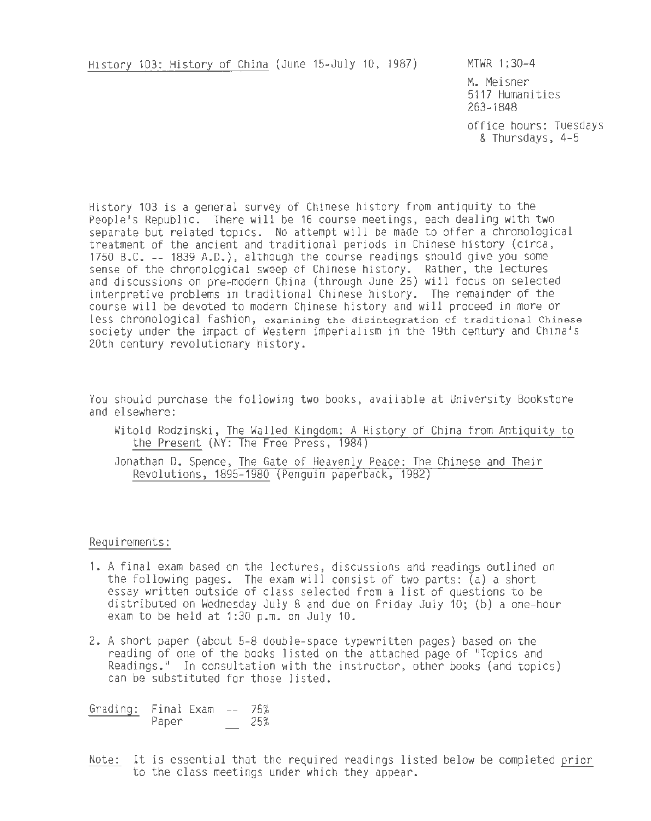History 103: History of China (June 15-July 10, 1987) MTWR 1;30-4

M. Meisner 5117 Humanities 263-1848

office hours: Tuesdays & Thursdays, 4-5

History 103 is a general survey of Chinese history from antiquity to the People's Republic. There will be 16 course meetings, each dealing with two separate but related topics. No attempt will be made to offer a chronological treatment of the ancient and traditional periods in Chinese history (circa, 1750 B.C. -- 1839 A.D.), although the course readings should give you some sense of the chronological sweep of Chinese history. Rather, the lectures and discussions on pre-modern China (through June 25) will focus on selected interpretive problems in traditional Chinese history. The remainder of the course will be devoted to modern Chinese history and will proceed in more or less chronological fashion, examining the disintegration of traditional Chinese society under the impact of Western imperialism in the 19th century and China 's 20th century revolutionary history.

You should purchase the following two books, available at University Bookstore and elsewhere:

Witold Rodzinski, The Walled Kingdom: A History of China from Antiquity to the Present (NY: The Free Press, 1984)

Jonathan D. Spence, The Gate of Heavenly Peace: The Chinese and Their Revolutions, 1895-1980 (Penguin paperback, 1982)

Requirements:

- 1. A final exam based on the lectures, discussions and readings outlined on the following pages. The exam will consist of two parts: (a) a short essay written outside of class selected from a list of questions to be distributed on Wednesday July 8 and due on Friday July 10; (b) a one-hour exam to be held at 1:30 p.m. on July 10.
- 2. A short paper (about 5-8 double-space typewritten pages) based on the reading of one of the books listed on the attached page of "Topics and Readings." In consultation with the instructor, other books (and topics) can be substituted for those listed.

Grading: Final Exam -- 75% Paper 25%

Note: It is essential that the required readings listed below be completed prior to the class meetings under which they appear.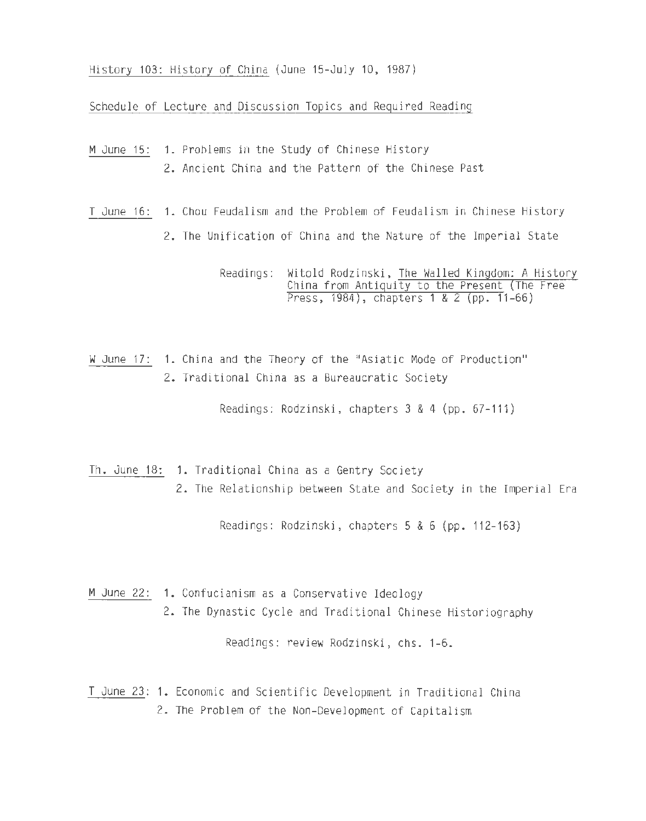History 103: History of China (June 15-July 10, 1987)

Schedule of Lecture and Discussion Topics and Required Reading

- M June 15: 1. Problems in the Study of Chinese History 2. Ancient China and the Pattern of the Chinese Past
- T June 16 : 1. Chou Feudalism and the Problem of Feudalism in Chinese History
	- 2. The Unification of China and the Nature of the Imperial State

Readings: Witold Rodzinski, The Walled Kingdom: A History China from Antiquity to the Present (The Free Press, 1984), chapters 1 & 2 (pp. 11-66)

W June 17: 1. China and the Theory of the "Asiatic Mode of Production" 2. Traditional China as a Bureaucratic Society

Readings: Rodzinski, chapters 3 & 4 {pp. 67-111)

Th. June 18: 1. Traditional China as a Gentry Society 2. The Relationship between State and Society in the Imperial Era

Readings: Rodzinski, chapters 5 & 6 (pp. 112-163)

- M June 22: 1. Confucianism as a Conservative Ideology
	- 2. The Dynastic Cycle and Traditional Chinese Historiography

Readings: review Rodzinski, chs. 1-6.

T June 23: 1. Economic and Scientific Development in Traditional China 2. The Problem of the Non-Development of Capitalism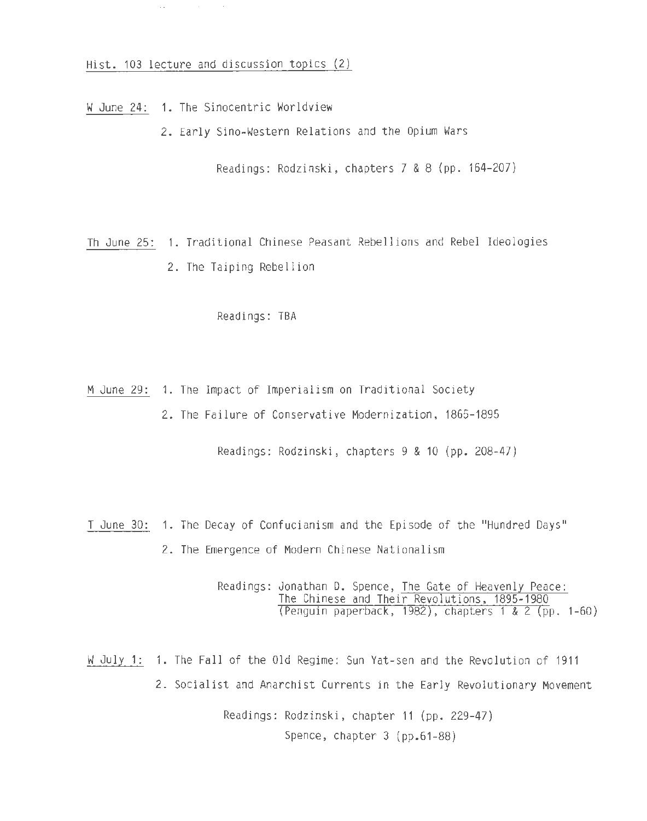Hist. 103 lecture and discussion topics (2)

W June 24: 1. The Sinocentric Worldview

 $\Delta\omega_{\rm{eff}}=0.01$  and

2. Early Sino-Western Relations and the Opium Wars

Readings: Rodzinski, chapters 7 & 8 (pp. 164-207)

Th June 25: 1. Traditional Chinese Peasant Rebellions and Rebel Ideologies 2. The Taiping Rebellion

Readings: TBA

- M June 29: 1. The Impact of Imperialism on Traditional Society
	- 2. The Failure of Conservative Modernization, 1865-1895

Readings: Rodzinski, chapters 9 & 10 (pp. 208-47)

T June 30: 1. The Decay of Confucianism and the Episode of the "Hundred Days" 2. The Emergence of Modern Chinese Nationalism

> Readings: Jonathan D. Spence, The Gate of Heavenly Peace: The Chinese and Their Revolutions, 1895- 1980 (Penguin paperback, 1982), chapters 1 & 2 (pp. 1-60)

W July 1: 1. The Fall of the Old Regime: Sun Yat-sen and the Revolution of 1911 2. Socialist and Anarchist Currents in the Early Revolutionary Movement

> Readings: Rodzinski, chapter 11 (pp. 229-47) Spence, chapter 3 (pp.61-88)